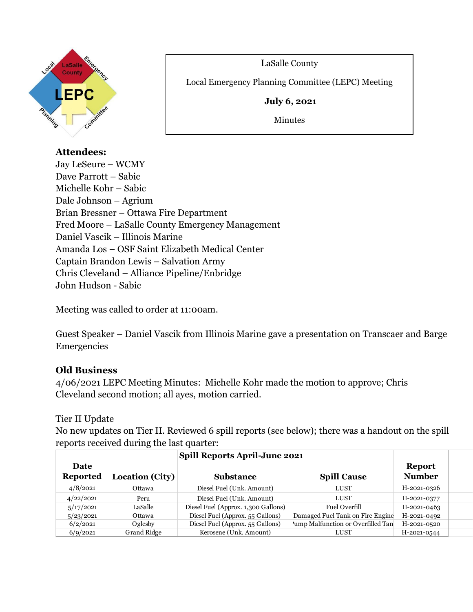

LaSalle County

Local Emergency Planning Committee (LEPC) Meeting

**July 6, 2021**

Minutes

# **Attendees:**

Jay LeSeure – WCMY Dave Parrott – Sabic Michelle Kohr – Sabic Dale Johnson – Agrium Brian Bressner – Ottawa Fire Department Fred Moore – LaSalle County Emergency Management Daniel Vascik – Illinois Marine Amanda Los – OSF Saint Elizabeth Medical Center Captain Brandon Lewis – Salvation Army Chris Cleveland – Alliance Pipeline/Enbridge John Hudson - Sabic

 $\overline{a}$ 

Meeting was called to order at 11:00am.

Guest Speaker – Daniel Vascik from Illinois Marine gave a presentation on Transcaer and Barge Emergencies

# **Old Business**

4/06/2021 LEPC Meeting Minutes: Michelle Kohr made the motion to approve; Chris Cleveland second motion; all ayes, motion carried.

# Tier II Update

No new updates on Tier II. Reviewed 6 spill reports (see below); there was a handout on the spill reports received during the last quarter:

|                         |                 | Spill Reports April-June 2021       |                                   |                                |  |
|-------------------------|-----------------|-------------------------------------|-----------------------------------|--------------------------------|--|
| Date<br><b>Reported</b> | Location (City) | <b>Substance</b>                    | <b>Spill Cause</b>                | <b>Report</b><br><b>Number</b> |  |
| 4/8/2021                | Ottawa          | Diesel Fuel (Unk. Amount)           | LUST                              | H-2021-0326                    |  |
| 4/22/2021               | Peru            | Diesel Fuel (Unk. Amount)           | LUST                              | H-2021-0377                    |  |
| 5/17/2021               | LaSalle         | Diesel Fuel (Approx. 1,300 Gallons) | <b>Fuel Overfill</b>              | H-2021-0463                    |  |
| 5/23/2021               | Ottawa          | Diesel Fuel (Approx. 55 Gallons)    | Damaged Fuel Tank on Fire Engine  | H-2021-0492                    |  |
| 6/2/2021                | Oglesby         | Diesel Fuel (Approx. 55 Gallons)    | ump Malfunction or Overfilled Tan | H-2021-0520                    |  |
| 6/9/2021                | Grand Ridge     | Kerosene (Unk. Amount)              | LUST                              | H-2021-0544                    |  |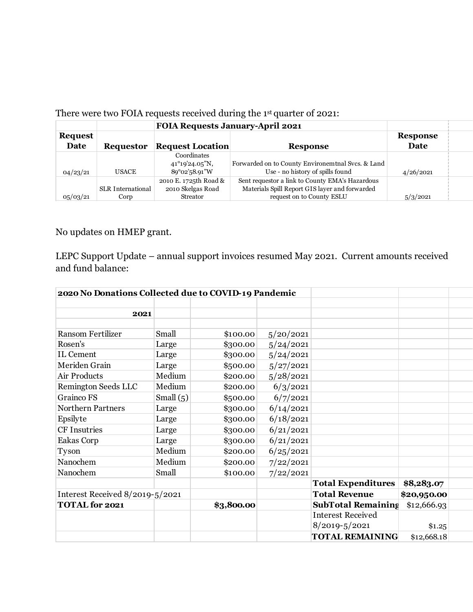|                        |                           | <b>FOIA Requests January-April 2021</b>                                        |                                                                                                                                |                         |  |
|------------------------|---------------------------|--------------------------------------------------------------------------------|--------------------------------------------------------------------------------------------------------------------------------|-------------------------|--|
| <b>Request</b><br>Date | <b>Requestor</b>          | <b>Request Location</b>                                                        | <b>Response</b>                                                                                                                | <b>Response</b><br>Date |  |
| 04/23/21               | <b>USACE</b>              | Coordinates<br>$41^{\circ}19^{\prime}24.05^{\prime\prime}N$ ,<br>89°02'58.91"W | Forwarded on to County Environemtnal Svcs. & Land<br>Use - no history of spills found                                          | 4/26/2021               |  |
| 05/03/21               | SLR International<br>Corp | 2010 E. 1725th Road &<br>2010 Skelgas Road<br>Streator                         | Sent requestor a link to County EMA's Hazardous<br>Materials Spill Report GIS layer and forwarded<br>request on to County ESLU | 5/3/2021                |  |

## There were two FOIA requests received during the 1 st quarter of 2021:

No updates on HMEP grant.

LEPC Support Update – annual support invoices resumed May 2021. Current amounts received and fund balance:

| 2020 No Donations Collected due to COVID-19 Pandemic |             |            |                      |                           |             |  |
|------------------------------------------------------|-------------|------------|----------------------|---------------------------|-------------|--|
|                                                      |             |            |                      |                           |             |  |
| 2021                                                 |             |            |                      |                           |             |  |
|                                                      |             |            |                      |                           |             |  |
| <b>Ransom Fertilizer</b>                             | Small       | \$100.00   | 5/20/2021            |                           |             |  |
| Rosen's                                              | Large       | \$300.00   | 5/24/2021            |                           |             |  |
| IL Cement                                            | Large       | \$300.00   | 5/24/2021            |                           |             |  |
| Meriden Grain                                        | Large       | \$500.00   | 5/27/2021            |                           |             |  |
| Air Products                                         | Medium      | \$200.00   | 5/28/2021            |                           |             |  |
| <b>Remington Seeds LLC</b>                           | Medium      | \$200.00   | 6/3/2021             |                           |             |  |
| <b>Grainco FS</b>                                    | Small $(5)$ | \$500.00   | 6/7/2021             |                           |             |  |
| <b>Northern Partners</b>                             | Large       | \$300.00   | 6/14/2021            |                           |             |  |
| Epsilyte                                             | Large       | \$300.00   | 6/18/2021            |                           |             |  |
| CF Insutries                                         | Large       | \$300.00   | 6/21/2021            |                           |             |  |
| Eakas Corp                                           | Large       | \$300.00   | 6/21/2021            |                           |             |  |
| Tyson                                                | Medium      | \$200.00   | 6/25/2021            |                           |             |  |
| Nanochem                                             | Medium      | \$200.00   | 7/22/2021            |                           |             |  |
| Nanochem                                             | Small       | \$100.00   | 7/22/2021            |                           |             |  |
|                                                      |             |            |                      | <b>Total Expenditures</b> | \$8,283.07  |  |
| Interest Received 8/2019-5/2021                      |             |            | <b>Total Revenue</b> | \$20,950.00               |             |  |
| <b>TOTAL</b> for 2021                                |             | \$3,800.00 |                      | <b>SubTotal Remaining</b> | \$12,666.93 |  |
|                                                      |             |            |                      | <b>Interest Received</b>  |             |  |
|                                                      |             |            |                      | $8/2019 - 5/2021$         | \$1.25      |  |
|                                                      |             |            |                      | <b>TOTAL REMAINING</b>    | \$12,668.18 |  |